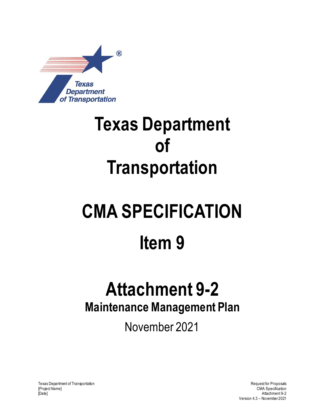

## **Texas Department of Transportation**

# **CMA SPECIFICATION Item 9**

### **Attachment 9-2 Maintenance Management Plan**

November 2021

Texas Department of Transportation and the control of Transportation Request for Proposals [*Project Name*] CMA Specification [Date] Attachment 9-2

Version 4.3 – November 2021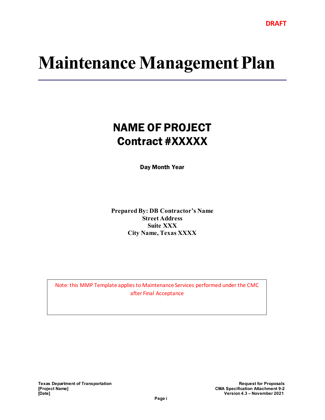### **Maintenance Management Plan**

### NAME OF PROJECT Contract #XXXXX

Day Month Year

**Prepared By: DB Contractor's Name Street Address Suite XXX City Name, Texas XXXX**

Note: this MMP Template applies to Maintenance Services performed under the CMC after Final Acceptance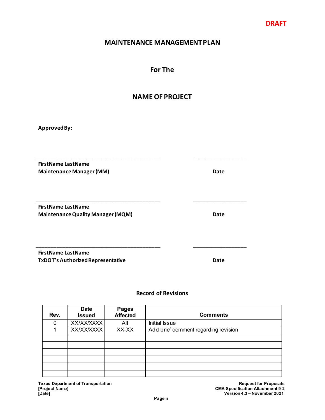#### **MAINTENANCE MANAGEMENT PLAN**

#### **For The**

#### **NAME OF PROJECT**

\_\_\_\_\_\_\_\_\_\_\_\_\_\_\_\_\_\_\_\_\_\_\_\_\_\_\_\_\_\_\_\_\_\_\_\_\_\_\_\_\_\_ \_\_\_\_\_\_\_\_\_\_\_\_\_\_\_\_\_\_

\_\_\_\_\_\_\_\_\_\_\_\_\_\_\_\_\_\_\_\_\_\_\_\_\_\_\_\_\_\_\_\_\_\_\_\_\_\_\_\_\_\_ \_\_\_\_\_\_\_\_\_\_\_\_\_\_\_\_\_\_

\_\_\_\_\_\_\_\_\_\_\_\_\_\_\_\_\_\_\_\_\_\_\_\_\_\_\_\_\_\_\_\_\_\_\_\_\_\_\_\_\_\_ \_\_\_\_\_\_\_\_\_\_\_\_\_\_\_\_\_\_

**Approved By:**

**FirstName LastName Maintenance Manager (MM) Date** 

**FirstName LastName Maintenance Quality Manager (MQM) Date**

**FirstName LastName TxDOT's Authorized Representative Date**

#### **Record of Revisions**

| Rev. | <b>Date</b><br><b>Issued</b> | <b>Pages</b><br><b>Affected</b> | <b>Comments</b>                      |
|------|------------------------------|---------------------------------|--------------------------------------|
|      | <b>XX/XX/XXXX</b>            | All                             | <b>Initial Issue</b>                 |
|      | <b>XX/XX/XXXX</b>            | XX-XX                           | Add brief comment regarding revision |
|      |                              |                                 |                                      |
|      |                              |                                 |                                      |
|      |                              |                                 |                                      |
|      |                              |                                 |                                      |
|      |                              |                                 |                                      |
|      |                              |                                 |                                      |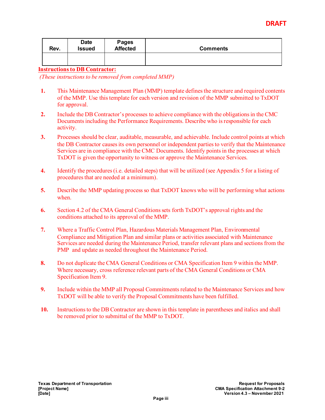| Rev. | Date<br><b>Issued</b> | Pages<br><b>Affected</b> | <b>Comments</b> |
|------|-----------------------|--------------------------|-----------------|
|      |                       |                          |                 |

#### **Instructionsto DB Contractor:**

*(These instructions to be removed from completed MMP)* 

- **1.** This Maintenance Management Plan (MMP) template defines the structure and required contents of the MMP. Use this template for each version and revision of the MMP submitted to TxDOT for approval.
- **2.** Include the DB Contractor's processes to achieve compliance with the obligations in the CMC Documents including the Performance Requirements. Describe who is responsible for each activity.
- **3.** Processes should be clear, auditable, measurable, and achievable. Include control points at which the DB Contractor causes its own personnel or independent parties to verify that the Maintenance Services are in compliance with the CMC Documents. Identify points in the processes at which TxDOT is given the opportunity to witness or approve the Maintenance Services.
- **4.** Identify the procedures (i.e. detailed steps) that will be utilized (see Appendix 5 for a listing of procedures that are needed at a minimum).
- **5.** Describe the MMP updating process so that TxDOT knows who will be performing what actions when.
- **6.** Section 4.2 of the CMA General Conditions sets forth TxDOT's approval rights and the conditions attached to its approval of the MMP.
- **7.** Where a Traffic Control Plan, Hazardous Materials Management Plan, Environmental Compliance and Mitigation Plan and similar plans or activities associated with Maintenance Services are needed during the Maintenance Period, transfer relevant plans and sections from the PMP and update as needed throughout the Maintenance Period.
- **8.** Do not duplicate the CMA General Conditions or CMA Specification Item 9 within the MMP. Where necessary, cross reference relevant parts of the CMA General Conditions or CMA Specification Item 9.
- **9.** Include within the MMP all Proposal Commitments related to the Maintenance Services and how TxDOT will be able to verify the Proposal Commitments have been fulfilled.
- **10.** Instructions to the DB Contractor are shown in this template in parentheses and italics and shall be removed prior to submittal of the MMP to TxDOT.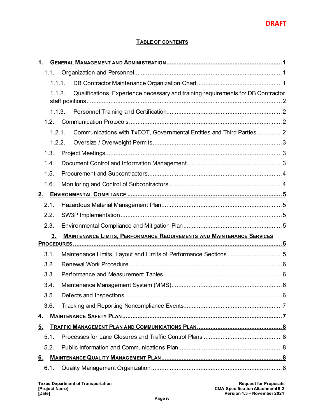#### **TABLE OF CONTENTS**

| 1.        |                                                                                  |
|-----------|----------------------------------------------------------------------------------|
| 1.1.      |                                                                                  |
| 1.1.1.    |                                                                                  |
| 1.1.2.    | Qualifications, Experience necessary and training requirements for DB Contractor |
|           | 1.1.3.                                                                           |
|           |                                                                                  |
| 1.2.1.    | Communications with TxDOT, Governmental Entities and Third Parties2              |
| 1.2.2.    |                                                                                  |
| 1.3.      |                                                                                  |
| 1.4.      |                                                                                  |
| 1.5.      |                                                                                  |
| 1.6.      |                                                                                  |
| 2.        |                                                                                  |
| 2.1.      |                                                                                  |
| 2.2.      |                                                                                  |
| 2.3.      |                                                                                  |
| 3.        | <b>MAINTENANCE LIMITS, PERFORMANCE REQUIREMENTS AND MAINTENANCE SERVICES</b>     |
|           |                                                                                  |
| 3.1.      | Maintenance Limits, Layout and Limits of Performance Sections 5                  |
| 3.2.      |                                                                                  |
| 3.3.      |                                                                                  |
| 3.4.      |                                                                                  |
| 3.5       | 6                                                                                |
| 3.6.      |                                                                                  |
| <u>4.</u> |                                                                                  |
| 5.        |                                                                                  |
| 5.1.      |                                                                                  |
| 5.2.      |                                                                                  |
| <u>6.</u> |                                                                                  |
| 6.1.      |                                                                                  |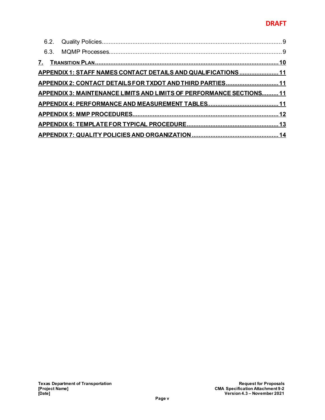#### **DRAFT**

| APPENDIX 1: STAFF NAMES CONTACT DETAILS AND QUALIFICATIONS  11       |  |
|----------------------------------------------------------------------|--|
| APPENDIX 2: CONTACT DETAILS FOR TXDOT AND THIRD PARTIES 11           |  |
| APPENDIX 3: MAINTENANCE LIMITS AND LIMITS OF PERFORMANCE SECTIONS 11 |  |
|                                                                      |  |
|                                                                      |  |
|                                                                      |  |
|                                                                      |  |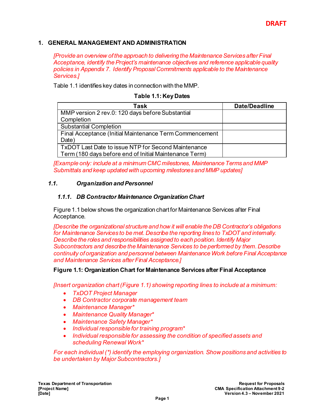#### <span id="page-6-0"></span>**1. GENERAL MANAGEMENT AND ADMINISTRATION**

*[Provide an overview of the approach to delivering the Maintenance Services after Final Acceptance, identify the Project's maintenance objectives and reference applicable quality policies in Appendix 7. Identify Proposal Commitments applicable to the Maintenance Services.]*

Table 1.1 identifies key dates in connection with the MMP.

#### **Table 1.1: Key Dates**

| Task                                                    | <b>Date/Deadline</b> |
|---------------------------------------------------------|----------------------|
| MMP version 2 rev.0: 120 days before Substantial        |                      |
| Completion                                              |                      |
| <b>Substantial Completion</b>                           |                      |
| Final Acceptance (Initial Maintenance Term Commencement |                      |
| Date)                                                   |                      |
| TxDOT Last Date to issue NTP for Second Maintenance     |                      |
| Term (180 days before end of Initial Maintenance Term)  |                      |

<span id="page-6-1"></span>*[Example only: include at a minimum CMCmilestones, Maintenance Terms and MMP Submittals and keep updated with upcoming milestones and MMP updates]*

#### <span id="page-6-2"></span>*1.1. Organization and Personnel*

#### *1.1.1. DB Contractor Maintenance Organization Chart*

Figure 1.1 below shows the organization chart for Maintenance Services after Final Acceptance.

*[Describe the organizational structure and how it will enable the DB Contractor's obligations for Maintenance Services to be met. Describe the reporting lines to TxDOT and internally. Describe the roles and responsibilities assigned to each position. Identify Major Subcontractors and describe the Maintenance Services to be performed by them. Describe continuity of organization and personnel between Maintenance Work before Final Acceptance and Maintenance Services after Final Acceptance.]*

#### **Figure 1.1: Organization Chart for Maintenance Services after Final Acceptance**

*[Insert organization chart (Figure 1.1) showing reporting lines to include at a minimum:* 

- *TxDOT Project Manager*
- *DB Contractor corporate management team*
- *Maintenance Manager\**
- *Maintenance Quality Manager\**
- *Maintenance Safety Manager\**
- *Individual responsible for training program\**
- *Individual responsible for assessing the condition of specified assets and scheduling Renewal Work\**

*For each individual (\*) identify the employing organization. Show positions and activities to be undertaken by Major Subcontractors.]*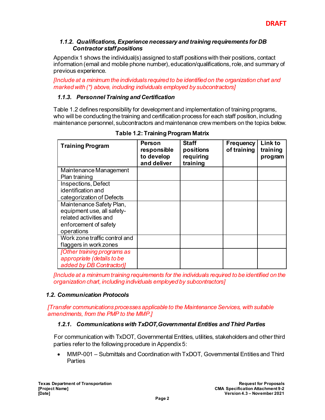#### <span id="page-7-0"></span>*1.1.2. Qualifications, Experience necessary and training requirements for DB Contractor staff positions*

Appendix 1 shows the individual(s) assigned to staff positions with their positions, contact information (email and mobile phone number), education/qualifications, role, and summary of previous experience.

*[Include at a minimum the individuals required to be identified on the organization chart and marked with (\*) above, including individuals employed by subcontractors]*

#### <span id="page-7-1"></span>*1.1.3. Personnel Training and Certification*

Table 1.2 defines responsibility for development and implementation of training programs, who will be conducting the training and certification process for each staff position, including maintenance personnel, subcontractors and maintenance crew members on the topics below.

| <b>Training Program</b>            | Person<br>responsible<br>to develop<br>and deliver | <b>Staff</b><br>positions<br>requiring<br>training | <b>Frequency</b><br>of training | Link to<br>training<br>program |
|------------------------------------|----------------------------------------------------|----------------------------------------------------|---------------------------------|--------------------------------|
| Maintenance Management             |                                                    |                                                    |                                 |                                |
| Plan training                      |                                                    |                                                    |                                 |                                |
| Inspections, Defect                |                                                    |                                                    |                                 |                                |
| identification and                 |                                                    |                                                    |                                 |                                |
| categorization of Defects          |                                                    |                                                    |                                 |                                |
| Maintenance Safety Plan,           |                                                    |                                                    |                                 |                                |
| equipment use, all safety-         |                                                    |                                                    |                                 |                                |
| related activities and             |                                                    |                                                    |                                 |                                |
| enforcement of safety              |                                                    |                                                    |                                 |                                |
| operations                         |                                                    |                                                    |                                 |                                |
| Work zone traffic control and      |                                                    |                                                    |                                 |                                |
| flaggers in work zones             |                                                    |                                                    |                                 |                                |
| <b>[Other training programs as</b> |                                                    |                                                    |                                 |                                |
| appropriate (details to be         |                                                    |                                                    |                                 |                                |
| added by DB Contractor)]           |                                                    |                                                    |                                 |                                |

**Table 1.2: Training Program Matrix**

*[Include at a minimum training requirements for the individuals required to be identified on the organization chart, including individuals employed by subcontractors]*

#### <span id="page-7-2"></span>*1.2. Communication Protocols*

<span id="page-7-3"></span>*[Transfer communications processes applicable to the Maintenance Services, with suitable amendments, from the PMP to the MMP.]*

#### *1.2.1. Communications with TxDOT,Governmental Entities and Third Parties*

For communication with TxDOT, Governmental Entities, utilities, stakeholders and other third parties refer to the following procedure in Appendix 5:

• MMP-001 – Submittals and Coordination with TxDOT, Governmental Entities and Third **Parties**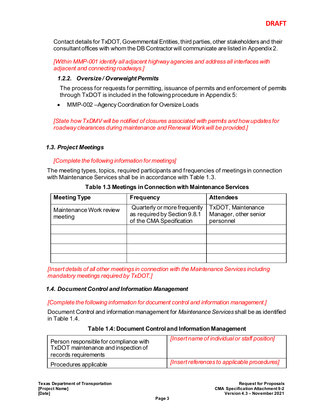Contact details for TxDOT, Governmental Entities, third parties, other stakeholders and their consultant offices with whom the DB Contractor will communicate are listed in Appendix 2.

*[Within MMP-001 identify all adjacent highway agencies and address all interfaces with adjacent and connecting roadways.]*

#### <span id="page-8-0"></span>*1.2.2. Oversize / Overweight Permits*

The process for requests for permitting, issuance of permits and enforcement of permits through TxDOT is included in the following procedure in Appendix 5:

• MMP-002 - Agency Coordination for Oversize Loads

*[State how TxDMV will be notified of closures associated with permits and how updates for roadway clearances during maintenance and Renewal Work will be provided.]*

#### <span id="page-8-1"></span>*1.3. Project Meetings*

#### *[Complete the following information for meetings]*

The meeting types, topics, required participants and frequencies of meetings in connection with Maintenance Services shall be in accordance with Table 1.3.

| <b>Meeting Type</b>                | <b>Frequency</b>                                                                         | <b>Attendees</b>                                                |
|------------------------------------|------------------------------------------------------------------------------------------|-----------------------------------------------------------------|
| Maintenance Work review<br>meeting | Quarterly or more frequently<br>as required by Section 9.8.1<br>of the CMA Specification | <b>TxDOT, Maintenance</b><br>Manager, other senior<br>personnel |
|                                    |                                                                                          |                                                                 |
|                                    |                                                                                          |                                                                 |
|                                    |                                                                                          |                                                                 |
|                                    |                                                                                          |                                                                 |

**Table 1.3 Meetings in Connection with Maintenance Services**

*[Insert details of all other meetings in connection with the Maintenance Services including mandatory meetings required by TxDOT.]*

#### <span id="page-8-2"></span>*1.4. Document Control and Information Management*

*[Complete the following information for document control and information management.]*

Document Control and information management for *Maintenance Services* shall be as identified in Table 1.4.

#### **Table 1.4: Document Control and Information Management**

| Person responsible for compliance with<br>TxDOT maintenance and inspection of<br>records requirements | [Insert name of individual or staff position] |
|-------------------------------------------------------------------------------------------------------|-----------------------------------------------|
| Procedures applicable                                                                                 | [Insert references to applicable procedures]  |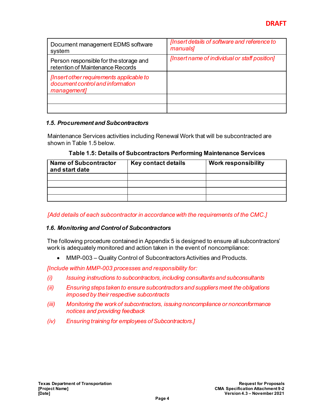| Document management EDMS software<br>system                                                 | [Insert details of software and reference to<br>manuals] |
|---------------------------------------------------------------------------------------------|----------------------------------------------------------|
| Person responsible for the storage and<br>retention of Maintenance Records                  | [Insert name of individual or staff position]            |
| [Insert other requirements applicable to<br>document control and information<br>management] |                                                          |
|                                                                                             |                                                          |
|                                                                                             |                                                          |

#### <span id="page-9-0"></span>*1.5. Procurement and Subcontractors*

Maintenance Services activities including Renewal Work that will be subcontracted are shown in Table 1.5 below.

| Table 1.5: Details of Subcontractors Performing Maintenance Services |  |
|----------------------------------------------------------------------|--|
|----------------------------------------------------------------------|--|

| <b>Name of Subcontractor</b><br>and start date | Key contact details | <b>Work responsibility</b> |  |
|------------------------------------------------|---------------------|----------------------------|--|
|                                                |                     |                            |  |
|                                                |                     |                            |  |
|                                                |                     |                            |  |
|                                                |                     |                            |  |

*[Add details of each subcontractor in accordance with the requirements of the CMC.]*

#### <span id="page-9-1"></span>*1.6. Monitoring and Control of Subcontractors*

The following procedure contained in Appendix 5 is designed to ensure all subcontractors' work is adequately monitored and action taken in the event of noncompliance:

• MMP-003 – Quality Control of Subcontractors Activities and Products.

*[Include within MMP-003 processes and responsibility for:*

- *(i) Issuing instructions to subcontractors, including consultants and subconsultants*
- *(ii) Ensuring steps taken to ensure subcontractors and suppliers meet the obligations imposed by their respective subcontracts*
- *(iii) Monitoring the work of subcontractors, issuing noncompliance or nonconformance notices and providing feedback*
- *(iv) Ensuring training for employees of Subcontractors.]*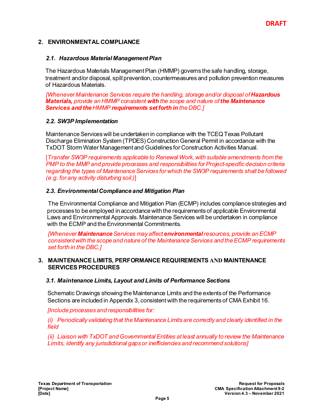#### <span id="page-10-0"></span>**2. ENVIRONMENTAL COMPLIANCE**

#### <span id="page-10-1"></span>*2.1. Hazardous Material Management Plan*

The Hazardous Materials Management Plan (HMMP) governs the safe handling, storage, treatment and/or disposal, spill prevention, countermeasures and pollution prevention measures of Hazardous Materials.

*[Whenever Maintenance Services require the handling, storage and/or disposal of Hazardous Materials, provide an HMMP consistent with the scope and nature of the Maintenance Services and the HMMP requirements set forth in the DBC.]*

#### <span id="page-10-2"></span>*2.2. SW3P Implementation*

Maintenance Services will be undertaken in compliance with the TCEQ Texas Pollutant Discharge Elimination System (TPDES) Construction General Permit in accordance with the TxDOT Storm Water Management and Guidelines for Construction Activities Manual.

[*Transfer SW3P requirements applicable to Renewal Work, with suitable amendments from the PMP to the MMP and provide processes and responsibilities for Project-specific decision criteria regarding the types of Maintenance Services for which the SW3P requirements shall be followed (e.g. for any activity disturbing soil.)*]

#### <span id="page-10-3"></span>*2.3. Environmental Compliance and Mitigation Plan*

The Environmental Compliance and Mitigation Plan (ECMP) includes compliance strategies and processes to be employed in accordance with the requirements of applicable Environmental Laws and Environmental Approvals. Maintenance Services will be undertaken in compliance with the ECMP and the Environmental Commitments.

<span id="page-10-4"></span>*[Whenever Maintenance Services may affect environmental resources, provide an ECMP consistent with the scope and nature of the Maintenance Services and the ECMP requirements set forth in the DBC.]*

#### **3. MAINTENANCE LIMITS, PERFORMANCE REQUIREMENTS AND MAINTENANCE SERVICES PROCEDURES**

#### <span id="page-10-5"></span>*3.1. Maintenance Limits, Layout and Limits of Performance Sections*

Schematic Drawings showing the Maintenance Limits and the extents of the Performance Sections are included in Appendix 3, consistent with the requirements of CMA Exhibit 16.

*[Include processes and responsibilities for:*

*(i) Periodically validating that the Maintenance Limits are correctly and clearly identified in the field*

*(ii) Liaison with TxDOT and Governmental Entities at least annually to review the Maintenance Limits, identify any jurisdictional gaps or inefficiencies and recommend solutions]*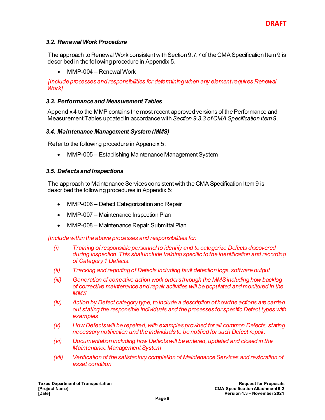#### <span id="page-11-0"></span>*3.2. Renewal Work Procedure*

The approach to Renewal Work consistent with Section 9.7.7 of the CMA Specification Item 9 is described in the following procedure in Appendix 5.

• MMP-004 – Renewal Work

*[Include processes and responsibilities for determining when any element requires Renewal Work]*

#### <span id="page-11-1"></span>*3.3. Performance and Measurement Tables*

Appendix 4 to the MMP contains the most recent approved versions of the Performance and Measurement Tables updated in accordance with *Section 9.3.3 of CMA Specification Item 9*.

#### <span id="page-11-2"></span>*3.4. Maintenance Management System (MMS)*

Refer to the following procedure in Appendix 5:

• MMP-005 – Establishing Maintenance Management System

#### <span id="page-11-3"></span>*3.5. Defects and Inspections*

The approach to Maintenance Services consistent with the CMA Specification Item 9 is described the following procedures in Appendix 5:

- MMP-006 Defect Categorization and Repair
- MMP-007 Maintenance Inspection Plan
- MMP-008 Maintenance Repair Submittal Plan

*[Include within the above processes and responsibilities for:* 

- *(i) Training ofresponsible personnel to identify and to categorize Defects discovered during inspection. This shall include training specific to the identification and recording of Category 1 Defects.*
- *(ii) Tracking and reporting of Defects including fault detection logs, software output*
- *(iii) Generation of corrective action work orders through the MMS including how backlog of corrective maintenance and repair activities will be populated and monitored in the MMS*
- *(iv) Action by Defect category type, to include a description of how the actions are carried out stating the responsible individuals and the processes for specific Defect types with examples*
- *(v) How Defects will be repaired, with examples provided for all common Defects, stating necessary notification and the individuals to be notified for such Defect repair.*
- *(vi) Documentation including how Defects will be entered, updated and closed in the Maintenance Management System*
- *(vii) Verification of the satisfactory completion of Maintenance Services and restoration of asset condition*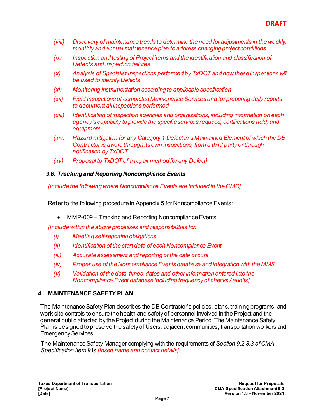- *(viii) Discovery of maintenance trends to determine the need for adjustments in the weekly, monthly and annual maintenance plan to address changing project conditions*
- *(ix) Inspection and testing of Project items and the identification and classification of Defects and inspection failures*
- *(x) Analysis of Specialist Inspections performed by TxDOT and how these inspections will be used to identify Defects*
- *(xi) Monitoring instrumentation according to applicable specification*
- *(xii) Field inspections of completed Maintenance Services and for preparing daily reports to document all inspections performed*
- *(xiii) Identification of inspection agencies and organizations, including information on each agency's capability to provide the specific services required, certifications held, and equipment*
- *(xiv) Hazard mitigation for any Category 1 Defect in a Maintained Element of which the DB Contractor is aware through its own inspections, from a third party or through notification by TxDOT*
- *(xv) Proposal to TxDOT of a repair method for any Defect]*

#### <span id="page-12-0"></span>*3.6. Tracking and Reporting Noncompliance Events*

*[Include the following where Noncompliance Events are included in the CMC]*

Refer to the following procedure in Appendix 5 for Noncompliance Events:

• MMP-009 – Tracking and Reporting Noncompliance Events

*[Include within the above processes and responsibilities for:* 

- *(i) Meeting self-reporting obligations*
- *(ii) Identification of the start date of each Noncompliance Event*
- *(iii) Accurate assessment and reporting of the date of cure*
- *(iv) Proper use of the Noncompliance Events database and integration with the MMS.*
- *(v) Validation of the data, times, dates and other information entered into the Noncompliance Event database including frequency of checks / audits]*

#### <span id="page-12-1"></span>**4. MAINTENANCE SAFETY PLAN**

The Maintenance Safety Plan describes the DB Contractor's policies, plans, training programs, and work site controls to ensure the health and safety of personnel involved in the Project and the general public affected by the Project during the Maintenance Period. The Maintenance Safety Plan is designed to preserve the safety of Users, adjacent communities, transportation workers and Emergency Services.

The MaintenanceSafety Manager complying with the requirements of *Section 9.2.3.3 of CMA Specification Item 9* is *[Insert name and contact details].*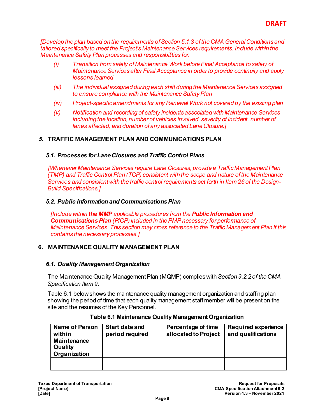*[Develop the plan based on the requirements ofSection 5.1.3 of the CMA General Conditions and tailored specifically to meet the Project's Maintenance Services requirements. Include within the Maintenance Safety Plan processes and responsibilities for:* 

- *(i) Transition from safety of Maintenance Work before Final Acceptance to safety of Maintenance Services after Final Acceptance in order to provide continuity and apply lessons learned*
- *(iii) The individual assigned during each shift during the Maintenance Services assigned to ensure compliance with the Maintenance Safety Plan*
- *(iv) Project-specific amendments for any Renewal Work not covered by the existing plan*
- *(v) Notification and recording of safety incidents associated with Maintenance Services including the location, number of vehicles involved, severity of incident, number of lanes affected, and duration of any associated Lane Closure.]*

#### <span id="page-13-1"></span><span id="page-13-0"></span>**5. TRAFFIC MANAGEMENT PLAN AND COMMUNICATIONS PLAN**

#### *5.1. Processes for Lane Closures and Traffic Control Plans*

*[Whenever Maintenance Services require Lane Closures, provide a Traffic Management Plan (TMP) and Traffic Control Plan (TCP) consistent with the scope and nature of the Maintenance Services and consistent with the traffic control requirements set forth in Item 26 of the Design-Build Specifications.]*

#### <span id="page-13-2"></span>*5.2. Public Information and CommunicationsPlan*

*[Include within the MMP applicable procedures from the Public Information and Communications Plan (PICP) included in the PMP necessary for performance of Maintenance Services. This section may cross reference to the Traffic Management Plan if this contains the necessary processes.]*

#### <span id="page-13-4"></span><span id="page-13-3"></span>**6. MAINTENANCE QUALITY MANAGEMENT PLAN**

#### *6.1. Quality Management Organization*

The Maintenance Quality Management Plan (MQMP) complies with *Section 9.2.2 of the CMA Specification Item 9*.

Table 6.1 below shows the maintenance quality management organization and staffing plan showing the period of time that each quality management staff member will be present on the site and the resumes of the Key Personnel.

| <b>Name of Person</b><br>within<br><b>Maintenance</b><br>Quality<br>Organization | <b>Start date and</b><br>period required | Percentage of time<br>allocated to Project | <b>Required experience</b><br>and qualifications |
|----------------------------------------------------------------------------------|------------------------------------------|--------------------------------------------|--------------------------------------------------|
|                                                                                  |                                          |                                            |                                                  |

#### **Table 6.1 Maintenance Quality Management Organization**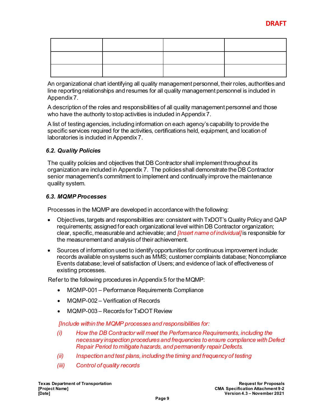An organizational chart identifying all quality management personnel, their roles, authorities and line reporting relationships and resumes for all quality management personnel is included in Appendix 7.

A description of the roles and responsibilities of all quality management personnel and those who have the authority to stop activities is included in Appendix 7.

A list of testing agencies, including information on each agency's capability to provide the specific services required for the activities, certifications held, equipment, and location of laboratories is included in Appendix 7.

#### <span id="page-14-0"></span>*6.2. Quality Policies*

The quality policies and objectives that DB Contractor shall implement throughout its organization are included in Appendix 7. The policies shall demonstrate the DB Contractor senior management's commitment to implement and continually improve the maintenance quality system.

#### <span id="page-14-1"></span>*6.3. MQMP Processes*

Processes in the MQMP are developed in accordance with the following:

- Objectives, targets and responsibilities are: consistent with TxDOT's Quality Policy and QAP requirements; assigned for each organizational level within DB Contractor organization; clear, specific, measurable and achievable; and *[Insert name of individual]* is responsible for the measurement and analysis of their achievement.
- Sources of information used to identify opportunities for continuous improvement include: records available on systems such as MMS; customer complaints database; Noncompliance Events database; level of satisfaction of Users; and evidence of lack of effectiveness of existing processes.

Refer to the following procedures in Appendix 5 for the MQMP:

- MQMP-001 Performance Requirements Compliance
- MQMP-002 Verification of Records
- MQMP-003 Records for TxDOT Review

*[Include within the MQMP processes and responsibilities for:*

- *(i) How the DB Contractor will meet the Performance Requirements, including the necessary inspection procedures and frequencies to ensure compliance with Defect Repair Period to mitigate hazards, and permanently repair Defects.*
- *(ii) Inspection and test plans, including the timing and frequency of testing*
- *(iii) Control of quality records*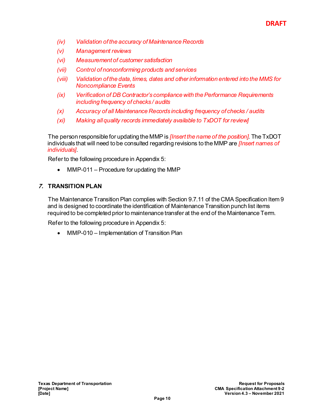- *(iv) Validation of the accuracy of Maintenance Records*
- *(v) Management reviews*
- *(vi) Measurement of customer satisfaction*
- *(vii) Control of nonconforming products and services*
- *(viii) Validation of the data, times, dates and other information entered into the MMS for Noncompliance Events*
- *(ix) Verification of DB Contractor's compliance with the Performance Requirements including frequency of checks / audits*
- *(x) Accuracy of all Maintenance Records including frequency of checks / audits*
- *(xi) Making all quality records immediately available to TxDOT for review]*

The person responsible for updating the MMP is *[Insert the name of the position]*. The TxDOT individuals that will need to be consulted regarding revisions to the MMP are *[Insert names of individuals]*.

Refer to the following procedure in Appendix 5:

• MMP-011 – Procedure for updating the MMP

#### <span id="page-15-0"></span>**7. TRANSITION PLAN**

The Maintenance Transition Plan complies with Section 9.7.11 of the CMA Specification Item 9 and is designed to coordinate the identification of Maintenance Transition punch list items required to be completed prior to maintenance transfer at the end of the Maintenance Term.

Refer to the following procedure in Appendix 5:

• MMP-010 – Implementation of Transition Plan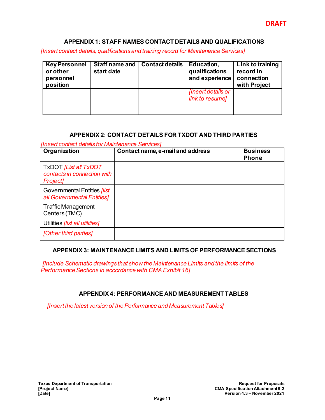#### <span id="page-16-0"></span>**APPENDIX 1: STAFF NAMES CONTACT DETAILS AND QUALIFICATIONS**

*[Insert contact details, qualifications and training record for Maintenance Services]*

| <b>Key Personnel</b><br>or other<br>personnel<br>position | Staff name and<br>start date | <b>Contact details</b> | Education,<br>qualifications<br>and experience | Link to training<br>record in<br>connection<br>with Project |
|-----------------------------------------------------------|------------------------------|------------------------|------------------------------------------------|-------------------------------------------------------------|
|                                                           |                              |                        | [Insert details or                             |                                                             |
|                                                           |                              |                        | link to resumel                                |                                                             |
|                                                           |                              |                        |                                                |                                                             |

#### **APPENDIX 2: CONTACT DETAILS FOR TXDOT AND THIRD PARTIES**

<span id="page-16-1"></span>*[Insert contact details for Maintenance Services]*

| Organization                                                             | Contact name, e-mail and address | <b>Business</b><br><b>Phone</b> |
|--------------------------------------------------------------------------|----------------------------------|---------------------------------|
| TxDOT [List all TxDOT<br>contacts in connection with<br><b>Project</b> ] |                                  |                                 |
| Governmental Entities <i>[list</i> ]<br>all Governmental Entities]       |                                  |                                 |
| <b>Traffic Management</b><br>Centers (TMC)                               |                                  |                                 |
| Utilities <i>[list all utilities]</i>                                    |                                  |                                 |
| [Other third parties]                                                    |                                  |                                 |

#### <span id="page-16-2"></span>**APPENDIX 3: MAINTENANCE LIMITS AND LIMITS OF PERFORMANCE SECTIONS**

*[Include Schematic drawings that show the Maintenance Limits and the limits of the Performance Sections in accordance with CMA Exhibit 16]*

#### **APPENDIX 4: PERFORMANCE AND MEASUREMENT TABLES**

<span id="page-16-3"></span>*[Insert the latest version of the Performance and Measurement Tables]*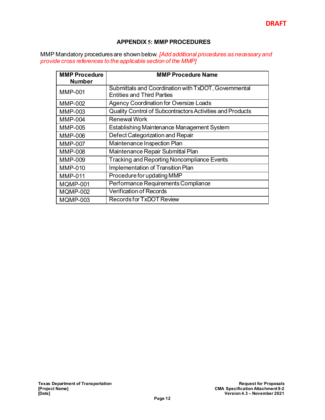#### **APPENDIX 5: MMP PROCEDURES**

<span id="page-17-0"></span>MMP Mandatory procedures are shown below. *[Add additional procedures as necessary and provide cross references to the applicable section of the MMP]*

| <b>MMP Procedure</b> | <b>MMP Procedure Name</b>                                 |
|----------------------|-----------------------------------------------------------|
| <b>Number</b>        |                                                           |
| <b>MMP-001</b>       | Submittals and Coordination with TxDOT, Governmental      |
|                      | <b>Entities and Third Parties</b>                         |
| <b>MMP-002</b>       | <b>Agency Coordination for Oversize Loads</b>             |
| <b>MMP-003</b>       | Quality Control of Subcontractors Activities and Products |
| <b>MMP-004</b>       | <b>Renewal Work</b>                                       |
| <b>MMP-005</b>       | <b>Establishing Maintenance Management System</b>         |
| MMP-006              | Defect Categorization and Repair                          |
| <b>MMP-007</b>       | Maintenance Inspection Plan                               |
| MMP-008              | Maintenance Repair Submittal Plan                         |
| <b>MMP-009</b>       | <b>Tracking and Reporting Noncompliance Events</b>        |
| MMP-010              | Implementation of Transition Plan                         |
| <b>MMP-011</b>       | Procedure for updating MMP                                |
| <b>MQMP-001</b>      | Performance Requirements Compliance                       |
| <b>MQMP-002</b>      | <b>Verification of Records</b>                            |
| MQMP-003             | <b>Records for TxDOT Review</b>                           |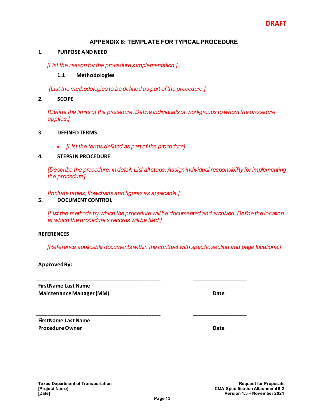#### **APPENDIX 6: TEMPLATE FOR TYPICAL PROCEDURE**

#### <span id="page-18-0"></span>**1. PURPOSE AND NEED**

*[List the reason for the procedure's implementation.]* 

#### **1.1 Methodologies**

*[List the methodologies to be defined as part of the procedure.]*

**2. SCOPE**

*[Define the limits of the procedure. Define individuals or workgroups to whom the procedure applies.]*

#### **3. DEFINED TERMS**

• *[List the terms defined as part of the procedure]*

#### **4. STEPS IN PROCEDURE**

*[Describe the procedure, in detail. List all steps.Assign individual responsibility for implementing the procedure]*

*[Include tables, flowcharts and figures as applicable.]*

#### **5. DOCUMENT CONTROL**

*[List the methods by which the procedure will be documented and archived. Define the location at which the procedure's records will be filed.]*

#### **REFERENCES**

*[Reference applicable documents within the contract with specific section and page locations.]*

\_\_\_\_\_\_\_\_\_\_\_\_\_\_\_\_\_\_\_\_\_\_\_\_\_\_\_\_\_\_\_\_\_\_\_\_\_\_\_\_\_\_ \_\_\_\_\_\_\_\_\_\_\_\_\_\_\_\_\_\_

\_\_\_\_\_\_\_\_\_\_\_\_\_\_\_\_\_\_\_\_\_\_\_\_\_\_\_\_\_\_\_\_\_\_\_\_\_\_\_\_\_\_ \_\_\_\_\_\_\_\_\_\_\_\_\_\_\_\_\_\_

**Approved By:**

**FirstName Last Name Maintenance Manager (MM) Date**

**FirstName Last Name Procedure Owner Community Community Procedure Owner Community Community Community Community Community Community**